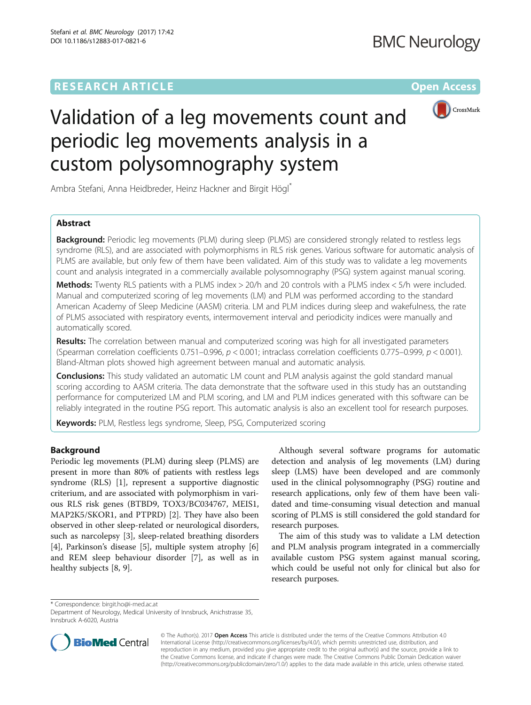# **RESEARCH ARTICLE Example 2014 12:30 The Contract of Contract ACCESS**



# Validation of a leg movements count and periodic leg movements analysis in a custom polysomnography system

Ambra Stefani, Anna Heidbreder, Heinz Hackner and Birgit Högl\*

# Abstract

**Background:** Periodic leg movements (PLM) during sleep (PLMS) are considered strongly related to restless legs syndrome (RLS), and are associated with polymorphisms in RLS risk genes. Various software for automatic analysis of PLMS are available, but only few of them have been validated. Aim of this study was to validate a leg movements count and analysis integrated in a commercially available polysomnography (PSG) system against manual scoring.

Methods: Twenty RLS patients with a PLMS index > 20/h and 20 controls with a PLMS index < 5/h were included. Manual and computerized scoring of leg movements (LM) and PLM was performed according to the standard American Academy of Sleep Medicine (AASM) criteria. LM and PLM indices during sleep and wakefulness, the rate of PLMS associated with respiratory events, intermovement interval and periodicity indices were manually and automatically scored.

Results: The correlation between manual and computerized scoring was high for all investigated parameters (Spearman correlation coefficients  $0.751-0.996$ ,  $p < 0.001$ ; intraclass correlation coefficients  $0.775-0.999$ ,  $p < 0.001$ ). Bland-Altman plots showed high agreement between manual and automatic analysis.

**Conclusions:** This study validated an automatic LM count and PLM analysis against the gold standard manual scoring according to AASM criteria. The data demonstrate that the software used in this study has an outstanding performance for computerized LM and PLM scoring, and LM and PLM indices generated with this software can be reliably integrated in the routine PSG report. This automatic analysis is also an excellent tool for research purposes.

Keywords: PLM, Restless legs syndrome, Sleep, PSG, Computerized scoring

# Background

Periodic leg movements (PLM) during sleep (PLMS) are present in more than 80% of patients with restless legs syndrome (RLS) [\[1](#page-7-0)], represent a supportive diagnostic criterium, and are associated with polymorphism in various RLS risk genes (BTBD9, TOX3/BC034767, MEIS1, MAP2K5/SKOR1, and PTPRD) [[2\]](#page-7-0). They have also been observed in other sleep-related or neurological disorders, such as narcolepsy [\[3](#page-7-0)], sleep-related breathing disorders [[4\]](#page-7-0), Parkinson's disease [[5\]](#page-7-0), multiple system atrophy [\[6](#page-7-0)] and REM sleep behaviour disorder [\[7](#page-7-0)], as well as in healthy subjects [[8, 9\]](#page-7-0).

Although several software programs for automatic detection and analysis of leg movements (LM) during sleep (LMS) have been developed and are commonly used in the clinical polysomnography (PSG) routine and research applications, only few of them have been validated and time-consuming visual detection and manual scoring of PLMS is still considered the gold standard for research purposes.

The aim of this study was to validate a LM detection and PLM analysis program integrated in a commercially available custom PSG system against manual scoring, which could be useful not only for clinical but also for research purposes.

\* Correspondence: [birgit.ho@i-med.ac.at](mailto:birgit.ho@i-med.ac.at)

Department of Neurology, Medical University of Innsbruck, Anichstrasse 35, Innsbruck A-6020, Austria



© The Author(s). 2017 **Open Access** This article is distributed under the terms of the Creative Commons Attribution 4.0 International License [\(http://creativecommons.org/licenses/by/4.0/](http://creativecommons.org/licenses/by/4.0/)), which permits unrestricted use, distribution, and reproduction in any medium, provided you give appropriate credit to the original author(s) and the source, provide a link to the Creative Commons license, and indicate if changes were made. The Creative Commons Public Domain Dedication waiver [\(http://creativecommons.org/publicdomain/zero/1.0/](http://creativecommons.org/publicdomain/zero/1.0/)) applies to the data made available in this article, unless otherwise stated.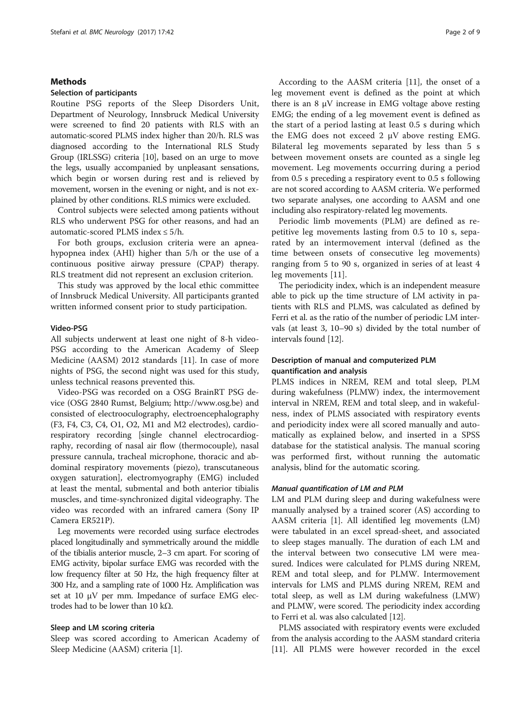## Methods

## Selection of participants

Routine PSG reports of the Sleep Disorders Unit, Department of Neurology, Innsbruck Medical University were screened to find 20 patients with RLS with an automatic-scored PLMS index higher than 20/h. RLS was diagnosed according to the International RLS Study Group (IRLSSG) criteria [\[10\]](#page-7-0), based on an urge to move the legs, usually accompanied by unpleasant sensations, which begin or worsen during rest and is relieved by movement, worsen in the evening or night, and is not explained by other conditions. RLS mimics were excluded.

Control subjects were selected among patients without RLS who underwent PSG for other reasons, and had an automatic-scored PLMS index ≤ 5/h.

For both groups, exclusion criteria were an apneahypopnea index (AHI) higher than 5/h or the use of a continuous positive airway pressure (CPAP) therapy. RLS treatment did not represent an exclusion criterion.

This study was approved by the local ethic committee of Innsbruck Medical University. All participants granted written informed consent prior to study participation.

# Video-PSG

All subjects underwent at least one night of 8-h video-PSG according to the American Academy of Sleep Medicine (AASM) 2012 standards [[11](#page-7-0)]. In case of more nights of PSG, the second night was used for this study, unless technical reasons prevented this.

Video-PSG was recorded on a OSG BrainRT PSG device (OSG 2840 Rumst, Belgium; [http://www.osg.be](http://www.osg.be/)) and consisted of electrooculography, electroencephalography (F3, F4, C3, C4, O1, O2, M1 and M2 electrodes), cardiorespiratory recording [single channel electrocardiography, recording of nasal air flow (thermocouple), nasal pressure cannula, tracheal microphone, thoracic and abdominal respiratory movements (piezo), transcutaneous oxygen saturation], electromyography (EMG) included at least the mental, submental and both anterior tibialis muscles, and time-synchronized digital videography. The video was recorded with an infrared camera (Sony IP Camera ER521P).

Leg movements were recorded using surface electrodes placed longitudinally and symmetrically around the middle of the tibialis anterior muscle, 2–3 cm apart. For scoring of EMG activity, bipolar surface EMG was recorded with the low frequency filter at 50 Hz, the high frequency filter at 300 Hz, and a sampling rate of 1000 Hz. Amplification was set at 10  $\mu$ V per mm. Impedance of surface EMG electrodes had to be lower than 10 kΩ.

#### Sleep and LM scoring criteria

Sleep was scored according to American Academy of Sleep Medicine (AASM) criteria [[1](#page-7-0)].

According to the AASM criteria [[11](#page-7-0)], the onset of a leg movement event is defined as the point at which there is an  $8 \mu V$  increase in EMG voltage above resting EMG; the ending of a leg movement event is defined as the start of a period lasting at least 0.5 s during which the EMG does not exceed 2 μV above resting EMG. Bilateral leg movements separated by less than 5 s between movement onsets are counted as a single leg movement. Leg movements occurring during a period from 0.5 s preceding a respiratory event to 0.5 s following are not scored according to AASM criteria. We performed two separate analyses, one according to AASM and one including also respiratory-related leg movements.

Periodic limb movements (PLM) are defined as repetitive leg movements lasting from 0.5 to 10 s, separated by an intermovement interval (defined as the time between onsets of consecutive leg movements) ranging from 5 to 90 s, organized in series of at least 4 leg movements [[11\]](#page-7-0).

The periodicity index, which is an independent measure able to pick up the time structure of LM activity in patients with RLS and PLMS, was calculated as defined by Ferri et al. as the ratio of the number of periodic LM intervals (at least 3, 10–90 s) divided by the total number of intervals found [[12](#page-7-0)].

# Description of manual and computerized PLM quantification and analysis

PLMS indices in NREM, REM and total sleep, PLM during wakefulness (PLMW) index, the intermovement interval in NREM, REM and total sleep, and in wakefulness, index of PLMS associated with respiratory events and periodicity index were all scored manually and automatically as explained below, and inserted in a SPSS database for the statistical analysis. The manual scoring was performed first, without running the automatic analysis, blind for the automatic scoring.

# Manual quantification of LM and PLM

LM and PLM during sleep and during wakefulness were manually analysed by a trained scorer (AS) according to AASM criteria [\[1](#page-7-0)]. All identified leg movements (LM) were tabulated in an excel spread-sheet, and associated to sleep stages manually. The duration of each LM and the interval between two consecutive LM were measured. Indices were calculated for PLMS during NREM, REM and total sleep, and for PLMW. Intermovement intervals for LMS and PLMS during NREM, REM and total sleep, as well as LM during wakefulness (LMW) and PLMW, were scored. The periodicity index according to Ferri et al. was also calculated [[12\]](#page-7-0).

PLMS associated with respiratory events were excluded from the analysis according to the AASM standard criteria [[11](#page-7-0)]. All PLMS were however recorded in the excel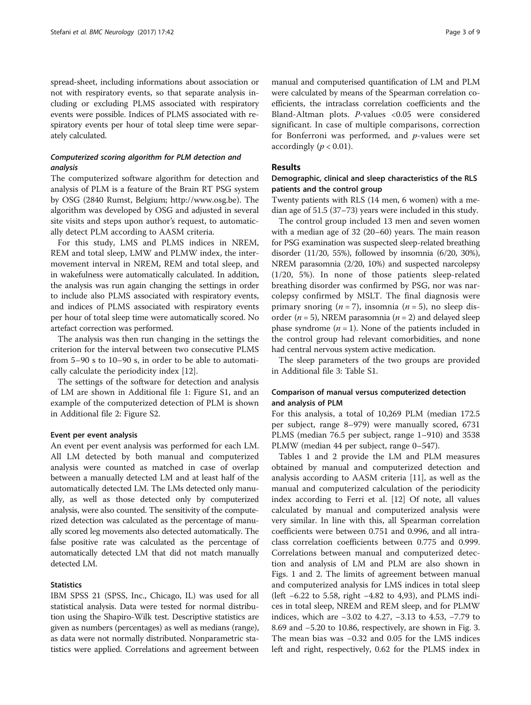spread-sheet, including informations about association or not with respiratory events, so that separate analysis including or excluding PLMS associated with respiratory events were possible. Indices of PLMS associated with respiratory events per hour of total sleep time were separately calculated.

# Computerized scoring algorithm for PLM detection and analysis

The computerized software algorithm for detection and analysis of PLM is a feature of the Brain RT PSG system by OSG (2840 Rumst, Belgium; [http://www.osg.be](http://www.osg.be/)). The algorithm was developed by OSG and adjusted in several site visits and steps upon author's request, to automatically detect PLM according to AASM criteria.

For this study, LMS and PLMS indices in NREM, REM and total sleep, LMW and PLMW index, the intermovement interval in NREM, REM and total sleep, and in wakefulness were automatically calculated. In addition, the analysis was run again changing the settings in order to include also PLMS associated with respiratory events, and indices of PLMS associated with respiratory events per hour of total sleep time were automatically scored. No artefact correction was performed.

The analysis was then run changing in the settings the criterion for the interval between two consecutive PLMS from 5–90 s to 10–90 s, in order to be able to automatically calculate the periodicity index [[12\]](#page-7-0).

The settings of the software for detection and analysis of LM are shown in Additional file [1:](#page-7-0) Figure S1, and an example of the computerized detection of PLM is shown in Additional file [2:](#page-7-0) Figure S2.

#### Event per event analysis

An event per event analysis was performed for each LM. All LM detected by both manual and computerized analysis were counted as matched in case of overlap between a manually detected LM and at least half of the automatically detected LM. The LMs detected only manually, as well as those detected only by computerized analysis, were also counted. The sensitivity of the computerized detection was calculated as the percentage of manually scored leg movements also detected automatically. The false positive rate was calculated as the percentage of automatically detected LM that did not match manually detected LM.

## **Statistics**

IBM SPSS 21 (SPSS, Inc., Chicago, IL) was used for all statistical analysis. Data were tested for normal distribution using the Shapiro-Wilk test. Descriptive statistics are given as numbers (percentages) as well as medians (range), as data were not normally distributed. Nonparametric statistics were applied. Correlations and agreement between

manual and computerised quantification of LM and PLM were calculated by means of the Spearman correlation coefficients, the intraclass correlation coefficients and the Bland-Altman plots. P-values <0.05 were considered significant. In case of multiple comparisons, correction for Bonferroni was performed, and  $p$ -values were set accordingly ( $p < 0.01$ ).

# Results

# Demographic, clinical and sleep characteristics of the RLS patients and the control group

Twenty patients with RLS (14 men, 6 women) with a median age of 51.5 (37–73) years were included in this study.

The control group included 13 men and seven women with a median age of 32 (20–60) years. The main reason for PSG examination was suspected sleep-related breathing disorder (11/20, 55%), followed by insomnia (6/20, 30%), NREM parasomnia (2/20, 10%) and suspected narcolepsy (1/20, 5%). In none of those patients sleep-related breathing disorder was confirmed by PSG, nor was narcolepsy confirmed by MSLT. The final diagnosis were primary snoring  $(n = 7)$ , insomnia  $(n = 5)$ , no sleep disorder ( $n = 5$ ), NREM parasomnia ( $n = 2$ ) and delayed sleep phase syndrome  $(n = 1)$ . None of the patients included in the control group had relevant comorbidities, and none had central nervous system active medication.

The sleep parameters of the two groups are provided in Additional file [3:](#page-7-0) Table S1.

# Comparison of manual versus computerized detection and analysis of PLM

For this analysis, a total of 10,269 PLM (median 172.5 per subject, range 8–979) were manually scored, 6731 PLMS (median 76.5 per subject, range 1–910) and 3538 PLMW (median 44 per subject, range 0–547).

Tables [1](#page-3-0) and [2](#page-3-0) provide the LM and PLM measures obtained by manual and computerized detection and analysis according to AASM criteria [[11\]](#page-7-0), as well as the manual and computerized calculation of the periodicity index according to Ferri et al. [\[12\]](#page-7-0) Of note, all values calculated by manual and computerized analysis were very similar. In line with this, all Spearman correlation coefficients were between 0.751 and 0.996, and all intraclass correlation coefficients between 0.775 and 0.999. Correlations between manual and computerized detection and analysis of LM and PLM are also shown in Figs. [1](#page-4-0) and [2](#page-5-0). The limits of agreement between manual and computerized analysis for LMS indices in total sleep (left −6.22 to 5.58, right −4.82 to 4,93), and PLMS indices in total sleep, NREM and REM sleep, and for PLMW indices, which are −3.02 to 4.27, −3.13 to 4.53, −7.79 to 8.69 and −5.20 to 10.86, respectively, are shown in Fig. [3](#page-6-0). The mean bias was −0.32 and 0.05 for the LMS indices left and right, respectively, 0.62 for the PLMS index in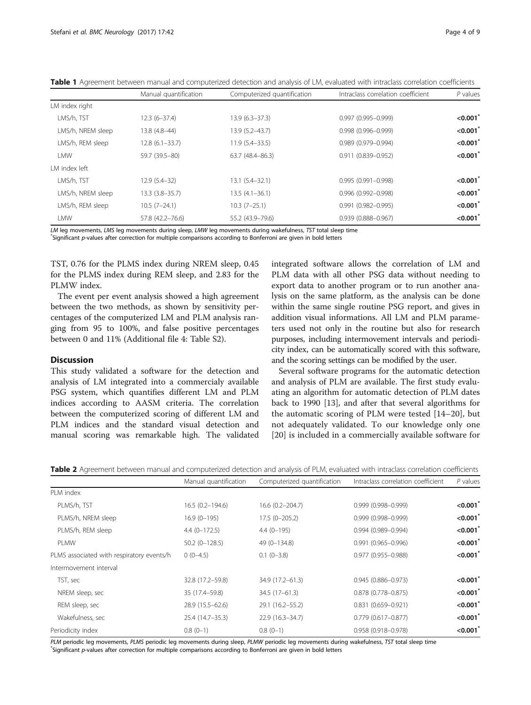|                   | Manual quantification | Computerized quantification | Intraclass correlation coefficient | $P$ values  |
|-------------------|-----------------------|-----------------------------|------------------------------------|-------------|
| LM index right    |                       |                             |                                    |             |
| LMS/h, TST        | $12.3(6-37.4)$        | $13.9(6.3 - 37.3)$          | $0.997(0.995 - 0.999)$             | < 0.001     |
| LMS/h, NREM sleep | 13.8 (4.8-44)         | 13.9 (5.2-43.7)             | $0.998(0.996 - 0.999)$             | < 0.001     |
| LMS/h, REM sleep  | $12.8(6.1 - 33.7)$    | $11.9(5.4 - 33.5)$          | 0.989 (0.979-0.994)                | < 0.001     |
| I MW              | 59.7 (39.5-80)        | 63.7 (48.4-86.3)            | $0.911(0.839 - 0.952)$             | < 0.001     |
| LM index left     |                       |                             |                                    |             |
| LMS/h, TST        | $12.9(5.4-32)$        | $13.1 (5.4 - 32.1)$         | $0.995(0.991 - 0.998)$             | < 0.001     |
| LMS/h, NREM sleep | $13.3(3.8 - 35.7)$    | $13.5(4.1-36.1)$            | $0.996(0.992 - 0.998)$             | $< 0.001^*$ |
| LMS/h, REM sleep  | $10.5(7-24.1)$        | $10.3(7-25.1)$              | $0.991$ $(0.982 - 0.995)$          | < 0.001     |
| LMW               | 57.8 (42.2-76.6)      | 55.2 (43.9-79.6)            | $0.939(0.888 - 0.967)$             | $< 0.001^*$ |

<span id="page-3-0"></span>Table 1 Agreement between manual and computerized detection and analysis of LM, evaluated with intraclass correlation coefficients

LM leg movements, LMS leg movements during sleep, LMW leg movements during wakefulness, TST total sleep time

Significant p-values after correction for multiple comparisons according to Bonferroni are given in bold letters

TST, 0.76 for the PLMS index during NREM sleep, 0.45 for the PLMS index during REM sleep, and 2.83 for the PLMW index.

The event per event analysis showed a high agreement between the two methods, as shown by sensitivity percentages of the computerized LM and PLM analysis ranging from 95 to 100%, and false positive percentages between 0 and 11% (Additional file [4](#page-7-0): Table S2).

# **Discussion**

This study validated a software for the detection and analysis of LM integrated into a commercialy available PSG system, which quantifies different LM and PLM indices according to AASM criteria. The correlation between the computerized scoring of different LM and PLM indices and the standard visual detection and manual scoring was remarkable high. The validated integrated software allows the correlation of LM and PLM data with all other PSG data without needing to export data to another program or to run another analysis on the same platform, as the analysis can be done within the same single routine PSG report, and gives in addition visual informations. All LM and PLM parameters used not only in the routine but also for research purposes, including intermovement intervals and periodicity index, can be automatically scored with this software, and the scoring settings can be modified by the user.

Several software programs for the automatic detection and analysis of PLM are available. The first study evaluating an algorithm for automatic detection of PLM dates back to 1990 [[13](#page-7-0)], and after that several algorithms for the automatic scoring of PLM were tested [[14](#page-7-0)–[20\]](#page-8-0), but not adequately validated. To our knowledge only one [[20](#page-8-0)] is included in a commercially available software for

| Table 2 Agreement between manual and computerized detection and analysis of PLM, evaluated with intraclass correlation coefficients |  |
|-------------------------------------------------------------------------------------------------------------------------------------|--|
|-------------------------------------------------------------------------------------------------------------------------------------|--|

|                                           | Manual quantification | Computerized quantification | Intraclass correlation coefficient | P values    |
|-------------------------------------------|-----------------------|-----------------------------|------------------------------------|-------------|
| PI M index                                |                       |                             |                                    |             |
| PLMS/h, TST                               | 16.5 (0.2-194.6)      | 16.6 (0.2-204.7)            | $0.999(0.998 - 0.999)$             | < 0.001     |
| PLMS/h, NREM sleep                        | $16.9(0-195)$         | $17.5(0 - 205.2)$           | $0.999(0.998 - 0.999)$             | < 0.001     |
| PLMS/h, REM sleep                         | $4.4(0-172.5)$        | $4.4(0-195)$                | $0.994(0.989 - 0.994)$             | < 0.001     |
| PLMW                                      | $50.2$ (0-128.5)      | 49 (0-134.8)                | $0.991$ $(0.965 - 0.996)$          | < 0.001     |
| PLMS associated with respiratory events/h | $0(0-4.5)$            | $0.1(0-3.8)$                | 0.977 (0.955-0.988)                | $< 0.001^*$ |
| Intermovement interval                    |                       |                             |                                    |             |
| TST, sec                                  | 32.8 (17.2-59.8)      | 34.9 (17.2-61.3)            | $0.945(0.886 - 0.973)$             | < 0.001     |
| NREM sleep, sec                           | 35 (17.4-59.8)        | 34.5 (17-61.3)              | $0.878$ $(0.778 - 0.875)$          | < 0.001     |
| REM sleep, sec                            | 28.9 (15.5-62.6)      | 29.1 (16.2-55.2)            | $0.831$ $(0.659 - 0.921)$          | < 0.001     |
| Wakefulness, sec                          | 25.4 (14.7-35.3)      | $22.9(16.3 - 34.7)$         | $0.779$ (0.617-0.877)              | < 0.001     |
| Periodicity index                         | $0.8(0-1)$            | $0.8(0-1)$                  | $0.958(0.918 - 0.978)$             | < 0.001     |

PLM periodic leg movements, PLMS periodic leg movements during sleep, PLMW periodic leg movements during wakefulness, TST total sleep time Significant p-values after correction for multiple comparisons according to Bonferroni are given in bold letters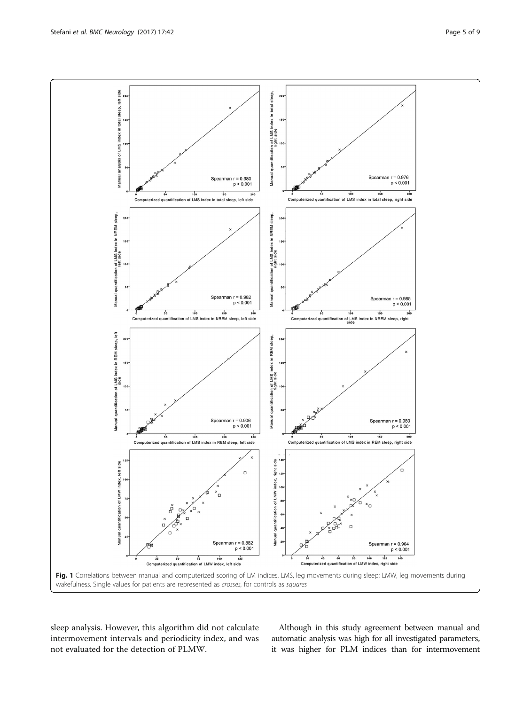<span id="page-4-0"></span>

sleep analysis. However, this algorithm did not calculate intermovement intervals and periodicity index, and was not evaluated for the detection of PLMW.

Although in this study agreement between manual and automatic analysis was high for all investigated parameters, it was higher for PLM indices than for intermovement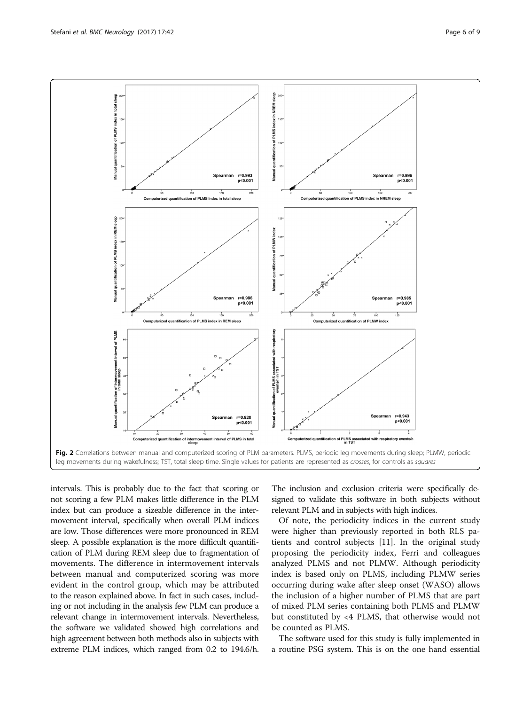<span id="page-5-0"></span>

intervals. This is probably due to the fact that scoring or not scoring a few PLM makes little difference in the PLM index but can produce a sizeable difference in the intermovement interval, specifically when overall PLM indices are low. Those differences were more pronounced in REM sleep. A possible explanation is the more difficult quantification of PLM during REM sleep due to fragmentation of movements. The difference in intermovement intervals between manual and computerized scoring was more evident in the control group, which may be attributed to the reason explained above. In fact in such cases, including or not including in the analysis few PLM can produce a relevant change in intermovement intervals. Nevertheless, the software we validated showed high correlations and high agreement between both methods also in subjects with extreme PLM indices, which ranged from 0.2 to 194.6/h. The inclusion and exclusion criteria were specifically designed to validate this software in both subjects without relevant PLM and in subjects with high indices.

Of note, the periodicity indices in the current study were higher than previously reported in both RLS patients and control subjects [\[11](#page-7-0)]. In the original study proposing the periodicity index, Ferri and colleagues analyzed PLMS and not PLMW. Although periodicity index is based only on PLMS, including PLMW series occurring during wake after sleep onset (WASO) allows the inclusion of a higher number of PLMS that are part of mixed PLM series containing both PLMS and PLMW but constituted by <4 PLMS, that otherwise would not be counted as PLMS.

The software used for this study is fully implemented in a routine PSG system. This is on the one hand essential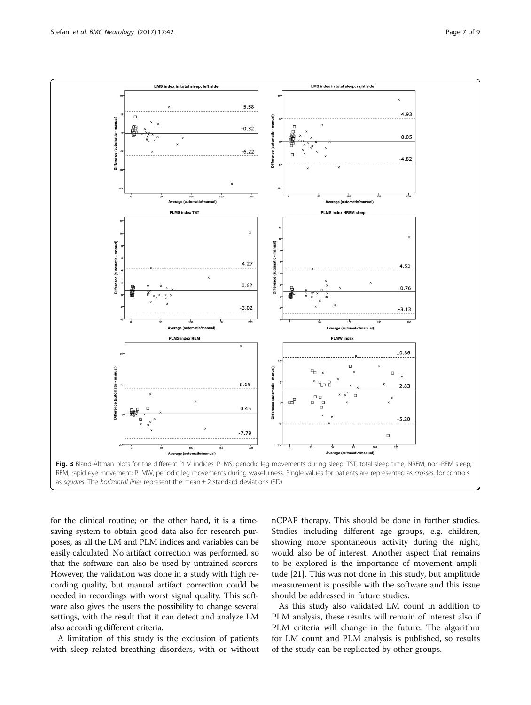<span id="page-6-0"></span>

for the clinical routine; on the other hand, it is a timesaving system to obtain good data also for research purposes, as all the LM and PLM indices and variables can be easily calculated. No artifact correction was performed, so that the software can also be used by untrained scorers. However, the validation was done in a study with high recording quality, but manual artifact correction could be needed in recordings with worst signal quality. This software also gives the users the possibility to change several settings, with the result that it can detect and analyze LM also according different criteria.

A limitation of this study is the exclusion of patients with sleep-related breathing disorders, with or without

nCPAP therapy. This should be done in further studies. Studies including different age groups, e.g. children, showing more spontaneous activity during the night, would also be of interest. Another aspect that remains to be explored is the importance of movement amplitude [[21\]](#page-8-0). This was not done in this study, but amplitude measurement is possible with the software and this issue should be addressed in future studies.

As this study also validated LM count in addition to PLM analysis, these results will remain of interest also if PLM criteria will change in the future. The algorithm for LM count and PLM analysis is published, so results of the study can be replicated by other groups.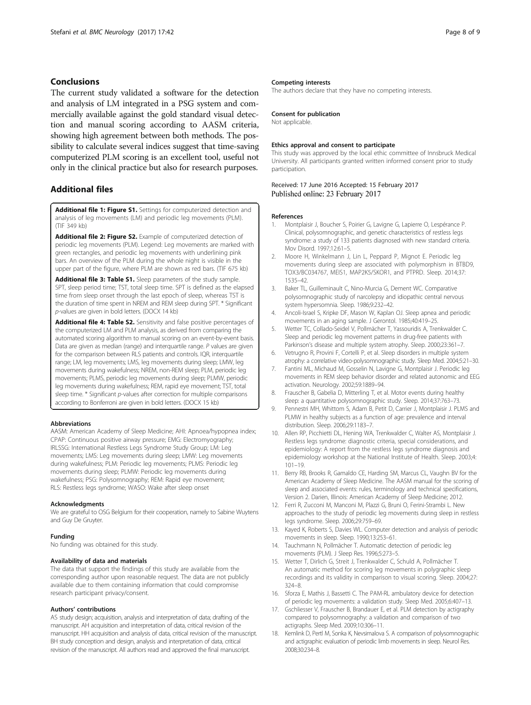# <span id="page-7-0"></span>Conclusions

The current study validated a software for the detection and analysis of LM integrated in a PSG system and commercially available against the gold standard visual detection and manual scoring according to AASM criteria, showing high agreement between both methods. The possibility to calculate several indices suggest that time-saving computerized PLM scoring is an excellent tool, useful not only in the clinical practice but also for research purposes.

# Additional files

[Additional file 1: Figure S1.](dx.doi.org/10.1186/s12883-017-0821-6) Settings for computerized detection and analysis of leg movements (LM) and periodic leg movements (PLM). (TIF 349 kb)

[Additional file 2: Figure S2.](dx.doi.org/10.1186/s12883-017-0821-6) Example of computerized detection of periodic leg movements (PLM). Legend: Leg movements are marked with green rectangles, and periodic leg movements with underlining pink bars. An overview of the PLM during the whole night is visible in the upper part of the figure, where PLM are shown as red bars. (TIF 675 kb)

[Additional file 3: Table S1.](dx.doi.org/10.1186/s12883-017-0821-6) Sleep parameters of the study sample. SPT, sleep period time; TST, total sleep time. SPT is defined as the elapsed time from sleep onset through the last epoch of sleep, whereas TST is the duration of time spent in NREM and REM sleep during SPT. \* Significant p-values are given in bold letters. (DOCX 14 kb)

[Additional file 4: Table S2.](dx.doi.org/10.1186/s12883-017-0821-6) Sensitivity and false positive percentages of the computerized LM and PLM analysis, as derived from comparing the automated scoring algorithm to manual scoring on an event-by-event basis. Data are given as median (range) and interquartile range. P values are given for the comparison between RLS patients and controls. IQR, interquartile range; LM, leg movements; LMS, leg movements during sleep; LMW, leg movements during wakefulness; NREM, non-REM sleep; PLM, periodic leg movements; PLMS, periodic leg movements during sleep; PLMW, periodic leg movements during wakefulness; REM, rapid eye movement; TST, total sleep time. \* Significant p-values after correction for multiple comparisons according to Bonferroni are given in bold letters. (DOCX 15 kb)

## Abbreviations

AASM: American Academy of Sleep Medicine; AHI: Apnoea/hypopnea index; CPAP: Continuous positive airway pressure; EMG: Electromyography; IRLSSG: International Restless Legs Syndrome Study Group; LM: Leg movements; LMS: Leg movements during sleep; LMW: Leg movements during wakefulness; PLM: Periodic leg movements; PLMS: Periodic leg movements during sleep; PLMW: Periodic leg movements during wakefulness; PSG: Polysomnography; REM: Rapid eye movement; RLS: Restless legs syndrome; WASO: Wake after sleep onset

#### Acknowledgments

We are grateful to OSG Belgium for their cooperation, namely to Sabine Wuytens and Guy De Gruyter.

#### Funding

No funding was obtained for this study.

#### Availability of data and materials

The data that support the findings of this study are available from the corresponding author upon reasonable request. The data are not publicly available due to them containing information that could compromise research participant privacy/consent.

### Authors' contributions

AS study design; acquisition, analysis and interpretation of data; drafting of the manuscript. AH acquisition and interpretation of data, critical revision of the manuscript. HH acquisition and analysis of data, critical revision of the manuscript. BH study conception and design, analysis and interpretation of data, critical revision of the manuscript. All authors read and approved the final manuscript.

## Competing interests

The authors declare that they have no competing interests.

#### Consent for publication

Not applicable.

#### Ethics approval and consent to participate

This study was approved by the local ethic committee of Innsbruck Medical University. All participants granted written informed consent prior to study participation.

## Received: 17 June 2016 Accepted: 15 February 2017 Published online: 23 February 2017

#### References

- 1. Montplaisir J, Boucher S, Poirier G, Lavigne G, Lapierre O, Lespérance P. Clinical, polysomnographic, and genetic characteristics of restless legs syndrome: a study of 133 patients diagnosed with new standard criteria. Mov Disord. 1997;12:61–5.
- 2. Moore H, Winkelmann J, Lin L, Peppard P, Mignot E. Periodic leg movements during sleep are associated with polymorphism in BTBD9, TOX3/BC034767, MEIS1, MAP2K5/SKOR1, and PTPRD. Sleep. 2014;37: 1535–42.
- 3. Baker TL, Guilleminault C, Nino-Murcia G, Dement WC. Comparative polysomnographic study of narcolepsy and idiopathic central nervous system hypersomnia. Sleep. 1986;9:232–42.
- 4. Ancoli-Israel S, Kripke DF, Mason W, Kaplan OJ. Sleep apnea and periodic movements in an aging sample. J Gerontol. 1985;40:419–25.
- 5. Wetter TC, Collado-Seidel V, Pollmächer T, Yassouridis A, Trenkwalder C. Sleep and periodic leg movement patterns in drug-free patients with Parkinson's disease and multiple system atrophy. Sleep. 2000;23:361–7.
- Vetrugno R, Provini F, Cortelli P, et al. Sleep disorders in multiple system atrophy: a correlative video-polysomnographic study. Sleep Med. 2004;5:21–30.
- 7. Fantini ML, Michaud M, Gosselin N, Lavigne G, Montplaisir J. Periodic leg movements in REM sleep behavior disorder and related autonomic and EEG activation. Neurology. 2002;59:1889–94.
- 8. Frauscher B, Gabelia D, Mitterling T, et al. Motor events during healthy sleep: a quantitative polysomnographic study. Sleep. 2014;37:763–73.
- 9. Pennestri MH, Whittom S, Adam B, Petit D, Carrier J, Montplaisir J. PLMS and PLMW in healthy subjects as a function of age: prevalence and interval distribution. Sleep. 2006;29:1183–7.
- 10. Allen RP, Picchietti DL, Hening WA, Trenkwalder C, Walter AS, Montplaisir J. Restless legs syndrome: diagnostic criteria, special considerations, and epidemiology: A report from the restless legs syndrome diagnosis and epidemiology workshop at the National Institute of Health. Sleep. 2003;4: 101–19.
- 11. Berry RB, Brooks R, Gamaldo CE, Harding SM, Marcus CL, Vaughn BV for the American Academy of Sleep Medicine. The AASM manual for the scoring of sleep and associated events: rules, terminology and technical specifications, Version 2. Darien, Illinois: American Academy of Sleep Medicine; 2012.
- 12. Ferri R, Zucconi M, Manconi M, Plazzi G, Bruni O, Ferini-Strambi L. New approaches to the study of periodic leg movements during sleep in restless legs syndrome. Sleep. 2006;29:759–69.
- 13. Kayed K, Roberts S, Davies WL. Computer detection and analysis of periodic movements in sleep. Sleep. 1990;13:253–61.
- 14. Tauchmann N, Pollmächer T. Automatic detection of periodic leg movements (PLM). J Sleep Res. 1996;5:273–5.
- 15. Wetter T, Dirlich G, Streit J, Trenkwalder C, Schuld A, Pollmächer T. An automatic method for scoring leg movements in polygraphic sleep recordings and its validity in comparison to visual scoring. Sleep. 2004;27: 324–8.
- 16. Sforza E, Mathis J, Bassetti C. The PAM-RL ambulatory device for detection of periodic leg movements: a validation study. Sleep Med. 2005;6:407–13.
- 17. Gschliesser V, Frauscher B, Brandauer E, et al. PLM detection by actigraphy compared to polysomnography: a validation and comparison of two actigraphs. Sleep Med. 2009;10:306–11.
- 18. Kemlink D, Pertl M, Sonka K, Nevsimalova S. A comparison of polysomnographic and actigraphic evaluation of periodic limb movements in sleep. Neurol Res. 2008;30:234–8.